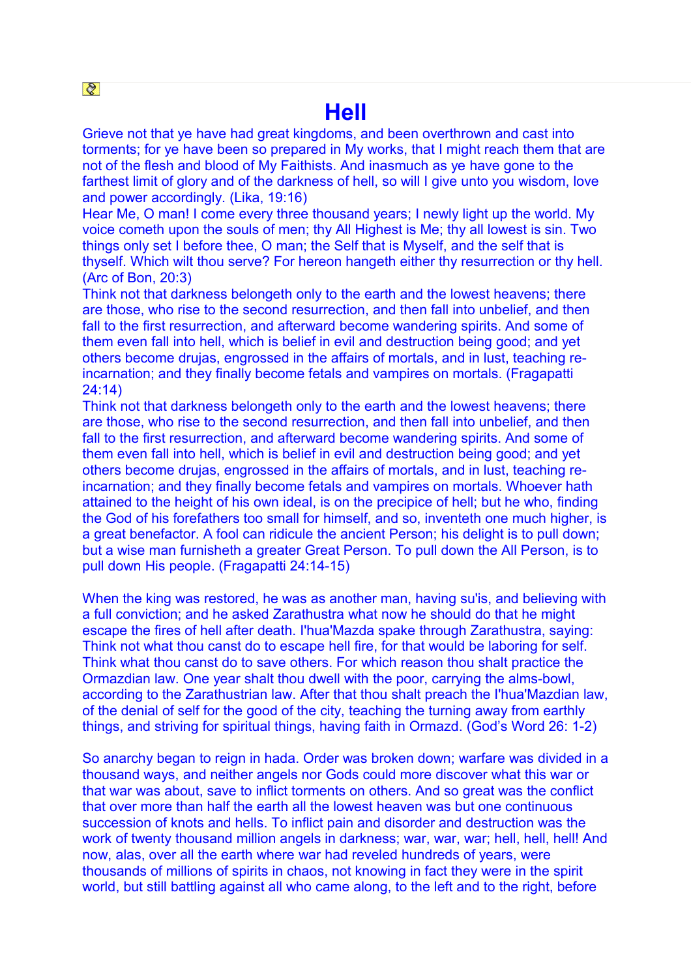## **Hell**

Grieve not that ye have had great kingdoms, and been overthrown and cast into torments; for ye have been so prepared in My works, that I might reach them that are not of the flesh and blood of My Faithists. And inasmuch as ye have gone to the farthest limit of glory and of the darkness of hell, so will I give unto you wisdom, love and power accordingly. (Lika, 19:16)

Hear Me, O man! I come every three thousand years; I newly light up the world. My voice cometh upon the souls of men; thy All Highest is Me; thy all lowest is sin. Two things only set I before thee, O man; the Self that is Myself, and the self that is thyself. Which wilt thou serve? For hereon hangeth either thy resurrection or thy hell. (Arc of Bon, 20:3)

Think not that darkness belongeth only to the earth and the lowest heavens; there are those, who rise to the second resurrection, and then fall into unbelief, and then fall to the first resurrection, and afterward become wandering spirits. And some of them even fall into hell, which is belief in evil and destruction being good; and yet others become drujas, engrossed in the affairs of mortals, and in lust, teaching reincarnation; and they finally become fetals and vampires on mortals. (Fragapatti 24:14)

Think not that darkness belongeth only to the earth and the lowest heavens; there are those, who rise to the second resurrection, and then fall into unbelief, and then fall to the first resurrection, and afterward become wandering spirits. And some of them even fall into hell, which is belief in evil and destruction being good; and yet others become drujas, engrossed in the affairs of mortals, and in lust, teaching reincarnation; and they finally become fetals and vampires on mortals. Whoever hath attained to the height of his own ideal, is on the precipice of hell; but he who, finding the God of his forefathers too small for himself, and so, inventeth one much higher, is a great benefactor. A fool can ridicule the ancient Person; his delight is to pull down; but a wise man furnisheth a greater Great Person. To pull down the All Person, is to pull down His people. (Fragapatti 24:14-15)

When the king was restored, he was as another man, having su'is, and believing with a full conviction; and he asked Zarathustra what now he should do that he might escape the fires of hell after death. I'hua'Mazda spake through Zarathustra, saying: Think not what thou canst do to escape hell fire, for that would be laboring for self. Think what thou canst do to save others. For which reason thou shalt practice the Ormazdian law. One year shalt thou dwell with the poor, carrying the alms-bowl, according to the Zarathustrian law. After that thou shalt preach the I'hua'Mazdian law, of the denial of self for the good of the city, teaching the turning away from earthly things, and striving for spiritual things, having faith in Ormazd. (God's Word 26: 1-2)

So anarchy began to reign in hada. Order was broken down; warfare was divided in a thousand ways, and neither angels nor Gods could more discover what this war or that war was about, save to inflict torments on others. And so great was the conflict that over more than half the earth all the lowest heaven was but one continuous succession of knots and hells. To inflict pain and disorder and destruction was the work of twenty thousand million angels in darkness; war, war, war; hell, hell, hell! And now, alas, over all the earth where war had reveled hundreds of years, were thousands of millions of spirits in chaos, not knowing in fact they were in the spirit world, but still battling against all who came along, to the left and to the right, before

 $|Q|$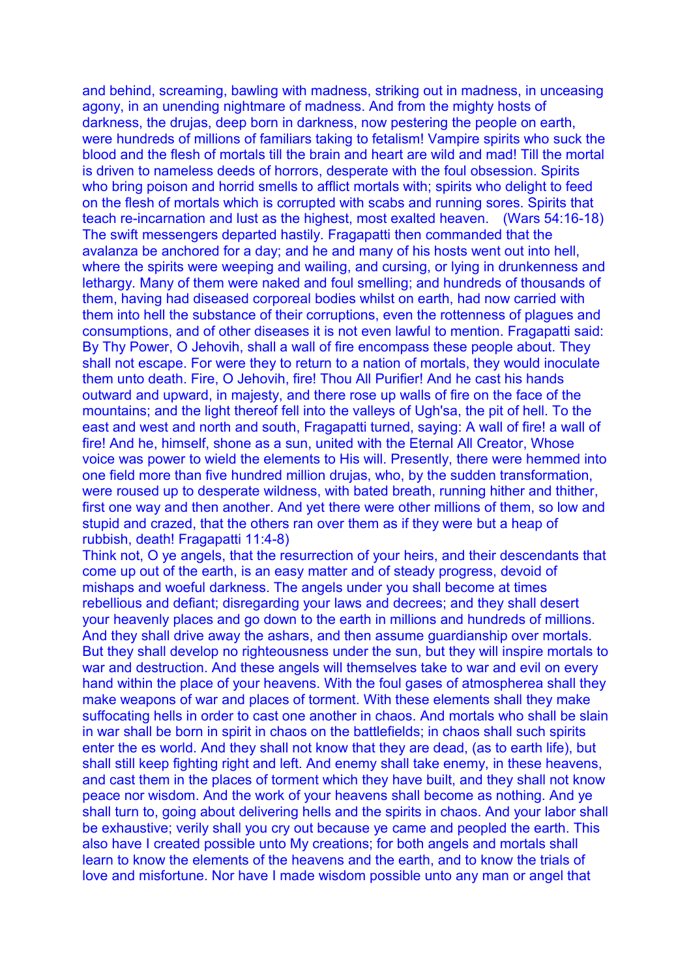and behind, screaming, bawling with madness, striking out in madness, in unceasing agony, in an unending nightmare of madness. And from the mighty hosts of darkness, the drujas, deep born in darkness, now pestering the people on earth, were hundreds of millions of familiars taking to fetalism! Vampire spirits who suck the blood and the flesh of mortals till the brain and heart are wild and mad! Till the mortal is driven to nameless deeds of horrors, desperate with the foul obsession. Spirits who bring poison and horrid smells to afflict mortals with; spirits who delight to feed on the flesh of mortals which is corrupted with scabs and running sores. Spirits that teach re-incarnation and lust as the highest, most exalted heaven. (Wars 54:16-18) The swift messengers departed hastily. Fragapatti then commanded that the avalanza be anchored for a day; and he and many of his hosts went out into hell, where the spirits were weeping and wailing, and cursing, or lying in drunkenness and lethargy. Many of them were naked and foul smelling; and hundreds of thousands of them, having had diseased corporeal bodies whilst on earth, had now carried with them into hell the substance of their corruptions, even the rottenness of plagues and consumptions, and of other diseases it is not even lawful to mention. Fragapatti said: By Thy Power, O Jehovih, shall a wall of fire encompass these people about. They shall not escape. For were they to return to a nation of mortals, they would inoculate them unto death. Fire, O Jehovih, fire! Thou All Purifier! And he cast his hands outward and upward, in majesty, and there rose up walls of fire on the face of the mountains; and the light thereof fell into the valleys of Ugh'sa, the pit of hell. To the east and west and north and south, Fragapatti turned, saying: A wall of fire! a wall of fire! And he, himself, shone as a sun, united with the Eternal All Creator, Whose voice was power to wield the elements to His will. Presently, there were hemmed into one field more than five hundred million drujas, who, by the sudden transformation, were roused up to desperate wildness, with bated breath, running hither and thither, first one way and then another. And yet there were other millions of them, so low and stupid and crazed, that the others ran over them as if they were but a heap of rubbish, death! Fragapatti 11:4-8)

Think not, O ye angels, that the resurrection of your heirs, and their descendants that come up out of the earth, is an easy matter and of steady progress, devoid of mishaps and woeful darkness. The angels under you shall become at times rebellious and defiant; disregarding your laws and decrees; and they shall desert your heavenly places and go down to the earth in millions and hundreds of millions. And they shall drive away the ashars, and then assume guardianship over mortals. But they shall develop no righteousness under the sun, but they will inspire mortals to war and destruction. And these angels will themselves take to war and evil on every hand within the place of your heavens. With the foul gases of atmospherea shall they make weapons of war and places of torment. With these elements shall they make suffocating hells in order to cast one another in chaos. And mortals who shall be slain in war shall be born in spirit in chaos on the battlefields; in chaos shall such spirits enter the es world. And they shall not know that they are dead, (as to earth life), but shall still keep fighting right and left. And enemy shall take enemy, in these heavens, and cast them in the places of torment which they have built, and they shall not know peace nor wisdom. And the work of your heavens shall become as nothing. And ye shall turn to, going about delivering hells and the spirits in chaos. And your labor shall be exhaustive; verily shall you cry out because ye came and peopled the earth. This also have I created possible unto My creations; for both angels and mortals shall learn to know the elements of the heavens and the earth, and to know the trials of love and misfortune. Nor have I made wisdom possible unto any man or angel that